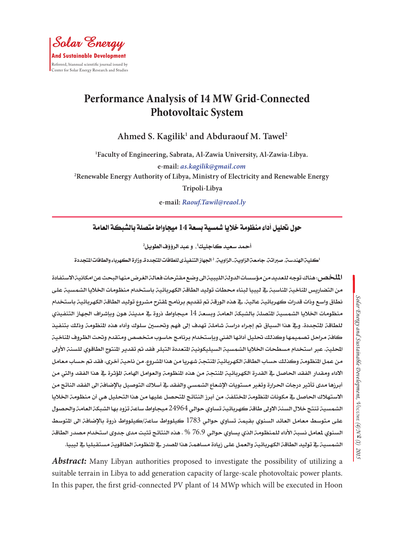# **Performance Analysis of 14 MW Grid-Connected Photovoltaic System**

Ahmed S. Kagilik<sup>1</sup> and Abduraouf M. Tawel<sup>2</sup>

**1 Faculty of Engineering, Sabrata, Al-Zawia University, Al-Zawia-Libya. e-mail:** *as.kagilik@gmail.com* **2 Renewable Energy Authority of Libya, Ministry of Electricity and Renewable Energy Tripoli-Libya**

**e-mail:** *Raouf.Tawil@reaol.ly*

**حول حتليل أداء منظومة خاليا مشسية بسعة 14 ميجاواط متصلة بالشبكة العامة**

أحمد *سعيد ك*اجليك<sup>1</sup>، وعبد الرؤؤف الطويل<sup>2</sup>

اكلية الهندسة، صبراتة. جامعة الزاوية ـ الزاوية، <sup>2</sup> الجهاز التنفيذى للطاقات التجددةـ وزارة الكهرباء والطاقات المتجددة

ال**مل**خص: هناك توجه للعديد من مؤسسات الدولة الليبية الى وضع مقترحات فعالة الغرض منها البحث عن امكانية الاستفادة من التضاريس الناخية الناسبة ية ليبيا لبناء محطات توليد الطاقة الكهربائية باستخدام منظومات الخلايا الشمسية على نطاق واسع وذات قدرات كهربائية عالية. يف هذه الورقة مت تقديم برنامج ملقرتح مشروع توليد الطاقة الكهربائية باستخدام منظومات اخلاليا الشمسية املتصلة بالشبكة العامة وبسعة 14 ميجاواط ذروة يف مدينة هون وبإشراف اجلهاز التنفيذي للطاقة التحددة. ويف هذا السياق تم إجراء دراسة شاملة تهدف إلى فهم وتحسين سلوك وأداء هذه النظومة وذلك بتنفيذ كافة مراحل تصميمها وكذلك تحليل أدائها الفنى وبإستخدام برنامج حاسوب متخصص ومتقدم وتحت الظروف الناخية الحليت. عبر استخدام مسطحات الخلايا الشمسية السيليكونية التعددة التبلر فقد تم تقدير النتوج الطاقوي للسنة الأولى من عمل النظومة وكذلك حساب الطاقة الكهربائية النتجة شهريا من هنا الشروع. من ناحية أخرى، فقد تم حساب معامل الاداء ومقدار الفقد الحاصل ية القدرة الكهربائية النتجة من هذه النظومة والعوامل الهامة المؤثرة ية هذا الفقد والتي من أبرزها مدى تأثير درجات الحرارة وتغير مستويات الإشعاع الشمسي والفقد ية أسلاك التوصيل بالإضافة الى الفقد الناتج من الاستهلاك الحاصل ية مكونات المنظومة المختلفة. من أبرز النتائج التحصل عليها من هذا التحليل هي أن منظومة الخلايا الشمسية تنتج خالل السنة االوىل طاقة كهربائية تساوي حوالي 24964 ميجاواط ساعة تزود بها الشبكة العامة واحلصول على متوسط معامل العائد السنوي بقيمة تساوي حوالي 1783 كيلوواط ساعة/كيلوواط ذروة بالإضافة الى التوسط السنوي للعامل نسبة الأداء للمنظومة الذي يساوي حوالي 76.9 % . هذه النتائج تثبت مدى جدوى استخدام مصدر الطاقة الشمسية في توليد الطاقة الكهربائية والعمل على زيادة مساهمة هذا الصدر في النظومة الطاقوية مستقبليا في ليبيا.

*Abstract:* Many Libyan authorities proposed to investigate the possibility of utilizing a suitable terrain in Libya to add generation capacity of large-scale photovoltaic power plants. In this paper, the first grid-connected PV plant of 14 MWp which will be executed in Hoon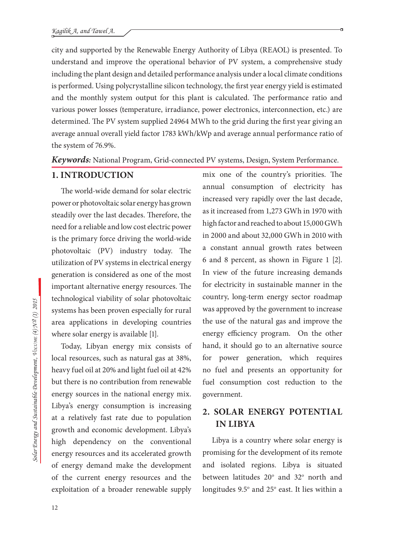city and supported by the Renewable Energy Authority of Libya (REAOL) is presented. To understand and improve the operational behavior of PV system, a comprehensive study including the plant design and detailed performance analysis under a local climate conditions is performed. Using polycrystalline silicon technology, the first year energy yield is estimated and the monthly system output for this plant is calculated. The performance ratio and various power losses (temperature, irradiance, power electronics, interconnection, etc.) are determined. The PV system supplied 24964 MWh to the grid during the first year giving an average annual overall yield factor 1783 kWh/kWp and average annual performance ratio of the system of 76.9%.

*Keywords:* National Program, Grid-connected PV systems, Design, System Performance.

### **1. INTRODUCTION**

The world-wide demand for solar electric power or photovoltaic solar energy has grown steadily over the last decades. Therefore, the need for a reliable and low cost electric power is the primary force driving the world-wide photovoltaic (PV) industry today. The utilization of PV systems in electrical energy generation is considered as one of the most important alternative energy resources. The technological viability of solar photovoltaic systems has been proven especially for rural area applications in developing countries where solar energy is available [1].

Today, Libyan energy mix consists of local resources, such as natural gas at 38%, heavy fuel oil at 20% and light fuel oil at 42% but there is no contribution from renewable energy sources in the national energy mix. Libya's energy consumption is increasing at a relatively fast rate due to population growth and economic development. Libya's high dependency on the conventional energy resources and its accelerated growth of energy demand make the development of the current energy resources and the exploitation of a broader renewable supply mix one of the country's priorities. The annual consumption of electricity has increased very rapidly over the last decade, as it increased from 1,273 GWh in 1970 with high factor and reached to about 15,000 GWh in 2000 and about 32,000 GWh in 2010 with a constant annual growth rates between 6 and 8 percent, as shown in Figure 1 [2]. In view of the future increasing demands for electricity in sustainable manner in the country, long-term energy sector roadmap was approved by the government to increase the use of the natural gas and improve the energy efficiency program. On the other hand, it should go to an alternative source for power generation, which requires no fuel and presents an opportunity for fuel consumption cost reduction to the government.

## **2. SOLAR ENERGY POTENTIAL IN LIBYA**

Libya is a country where solar energy is promising for the development of its remote and isolated regions. Libya is situated between latitudes  $20^{\circ}$  and  $32^{\circ}$  north and longitudes 9.5° and 25° east. It lies within a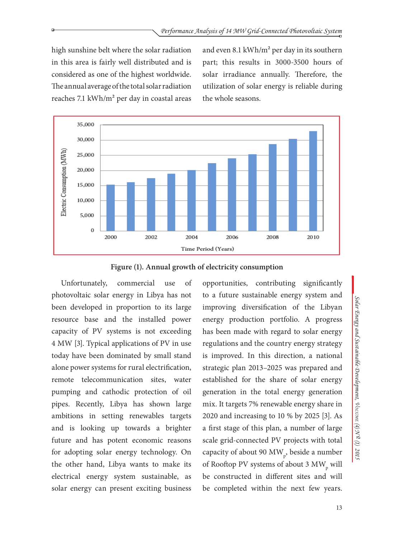high sunshine belt where the solar radiation in this area is fairly well distributed and is considered as one of the highest worldwide. The annual average of the total solar radiation reaches 7.1 kWh/m² per day in coastal areas and even 8.1 kWh/m² per day in its southern part; this results in 3000-3500 hours of solar irradiance annually. Therefore, the utilization of solar energy is reliable during the whole seasons.



**Figure (1). Annual growth of electricity consumption**

Unfortunately, commercial use of photovoltaic solar energy in Libya has not been developed in proportion to its large resource base and the installed power capacity of PV systems is not exceeding 4 MW [3]. Typical applications of PV in use today have been dominated by small stand alone power systems for rural electrification, remote telecommunication sites, water pumping and cathodic protection of oil pipes. Recently, Libya has shown large ambitions in setting renewables targets and is looking up towards a brighter future and has potent economic reasons for adopting solar energy technology. On the other hand, Libya wants to make its electrical energy system sustainable, as solar energy can present exciting business

opportunities, contributing significantly to a future sustainable energy system and improving diversification of the Libyan energy production portfolio. A progress has been made with regard to solar energy regulations and the country energy strategy is improved. In this direction, a national strategic plan 2013–2025 was prepared and established for the share of solar energy generation in the total energy generation mix. It targets 7% renewable energy share in 2020 and increasing to 10 % by 2025 [3]. As a first stage of this plan, a number of large scale grid-connected PV projects with total capacity of about 90  $MW_{p}$ , beside a number of Rooftop PV systems of about 3  $\text{MW}_{p}$  will be constructed in different sites and will be completed within the next few years.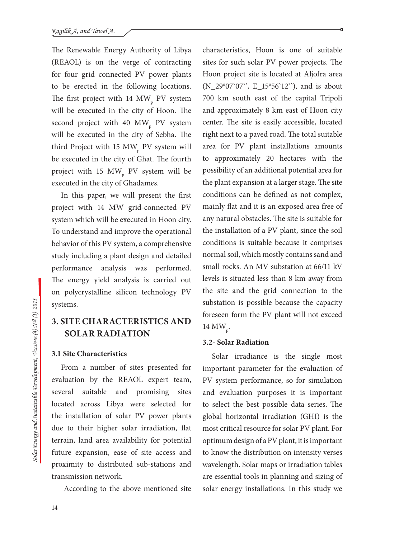The Renewable Energy Authority of Libya (REAOL) is on the verge of contracting for four grid connected PV power plants to be erected in the following locations. The first project with 14  $\text{MW}_{\text{p}}$  PV system will be executed in the city of Hoon. The second project with 40  $\rm{MW}_{p}$  PV system will be executed in the city of Sebha. The third Project with 15  $\text{MW}_{\text{p}}$  PV system will be executed in the city of Ghat. The fourth project with 15  $\text{MW}_{\text{p}}$  PV system will be executed in the city of Ghadames.

In this paper, we will present the first project with 14 MW grid-connected PV system which will be executed in Hoon city. To understand and improve the operational behavior of this PV system, a comprehensive study including a plant design and detailed performance analysis was performed. The energy yield analysis is carried out on polycrystalline silicon technology PV systems.

# **3. SITE CHARACTERISTICS AND SOLAR RADIATION**

#### **3.1 Site Characteristics**

From a number of sites presented for evaluation by the REAOL expert team, several suitable and promising sites located across Libya were selected for the installation of solar PV power plants due to their higher solar irradiation, flat terrain, land area availability for potential future expansion, ease of site access and proximity to distributed sub-stations and transmission network.

According to the above mentioned site

characteristics, Hoon is one of suitable sites for such solar PV power projects. The Hoon project site is located at Aljofra area (N\_29°07`07``, E\_15°56`12``), and is about 700 km south east of the capital Tripoli and approximately 8 km east of Hoon city center. The site is easily accessible, located right next to a paved road. The total suitable area for PV plant installations amounts to approximately 20 hectares with the possibility of an additional potential area for the plant expansion at a larger stage. The site conditions can be defined as not complex, mainly flat and it is an exposed area free of any natural obstacles. The site is suitable for the installation of a PV plant, since the soil conditions is suitable because it comprises normal soil, which mostly contains sand and small rocks. An MV substation at 66/11 kV levels is situated less than 8 km away from the site and the grid connection to the substation is possible because the capacity foreseen form the PV plant will not exceed 14 MW p .

#### **3.2- Solar Radiation**

Solar irradiance is the single most important parameter for the evaluation of PV system performance, so for simulation and evaluation purposes it is important to select the best possible data series. The global horizontal irradiation (GHI) is the most critical resource for solar PV plant. For optimum design of a PV plant, it is important to know the distribution on intensity verses wavelength. Solar maps or irradiation tables are essential tools in planning and sizing of solar energy installations. In this study we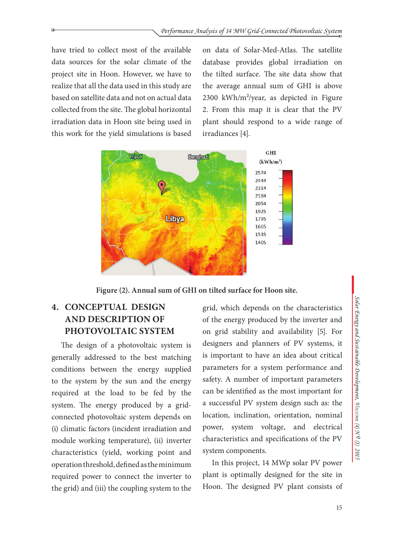have tried to collect most of the available data sources for the solar climate of the project site in Hoon. However, we have to realize that all the data used in this study are based on satellite data and not on actual data collected from the site. The global horizontal irradiation data in Hoon site being used in this work for the yield simulations is based on data of Solar-Med-Atlas. The satellite database provides global irradiation on the tilted surface. The site data show that the average annual sum of GHI is above 2300 kWh/m²/year, as depicted in Figure 2. From this map it is clear that the PV plant should respond to a wide range of irradiances [4].



**Figure (2). Annual sum of GHI on tilted surface for Hoon site.**

# **4. CONCEPTUAL DESIGN AND DESCRIPTION OF PHOTOVOLTAIC SYSTEM**

The design of a photovoltaic system is generally addressed to the best matching conditions between the energy supplied to the system by the sun and the energy required at the load to be fed by the system. The energy produced by a gridconnected photovoltaic system depends on (i) climatic factors (incident irradiation and module working temperature), (ii) inverter characteristics (yield, working point and operation threshold, defined as the minimum required power to connect the inverter to the grid) and (iii) the coupling system to the

grid, which depends on the characteristics of the energy produced by the inverter and on grid stability and availability [5]. For designers and planners of PV systems, it is important to have an idea about critical parameters for a system performance and safety. A number of important parameters can be identified as the most important for a successful PV system design such as: the location, inclination, orientation, nominal power, system voltage, and electrical characteristics and specifications of the PV system components.

In this project, 14 MWp solar PV power plant is optimally designed for the site in Hoon. The designed PV plant consists of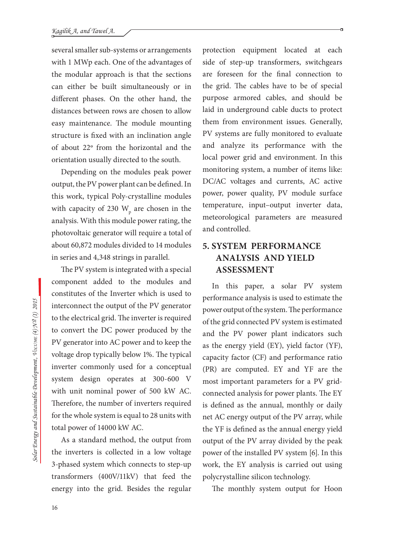several smaller sub-systems or arrangements with 1 MWp each. One of the advantages of the modular approach is that the sections can either be built simultaneously or in different phases. On the other hand, the distances between rows are chosen to allow easy maintenance. The module mounting structure is fixed with an inclination angle of about 22**<sup>o</sup>** from the horizontal and the orientation usually directed to the south.

Depending on the modules peak power output, the PV power plant can be defined. In this work, typical Poly-crystalline modules with capacity of 230  $\text{W}_{\text{p}}$  are chosen in the analysis. With this module power rating, the photovoltaic generator will require a total of about 60,872 modules divided to 14 modules in series and 4,348 strings in parallel.

The PV system is integrated with a special component added to the modules and constitutes of the Inverter which is used to interconnect the output of the PV generator to the electrical grid. The inverter is required to convert the DC power produced by the PV generator into AC power and to keep the voltage drop typically below 1%. The typical inverter commonly used for a conceptual system design operates at 300-600 V with unit nominal power of 500 kW AC. Therefore, the number of inverters required for the whole system is equal to 28 units with total power of 14000 kW AC.

As a standard method, the output from the inverters is collected in a low voltage 3-phased system which connects to step-up transformers (400V/11kV) that feed the energy into the grid. Besides the regular

protection equipment located at each side of step-up transformers, switchgears are foreseen for the final connection to the grid. The cables have to be of special purpose armored cables, and should be laid in underground cable ducts to protect them from environment issues. Generally, PV systems are fully monitored to evaluate and analyze its performance with the local power grid and environment. In this monitoring system, a number of items like: DC/AC voltages and currents, AC active power, power quality, PV module surface temperature, input–output inverter data, meteorological parameters are measured and controlled.

## **5. SYSTEM PERFORMANCE ANALYSIS AND YIELD ASSESSMENT**

In this paper, a solar PV system performance analysis is used to estimate the power output of the system. The performance of the grid connected PV system is estimated and the PV power plant indicators such as the energy yield (EY), yield factor (YF), capacity factor (CF) and performance ratio (PR) are computed. EY and YF are the most important parameters for a PV gridconnected analysis for power plants. The EY is defined as the annual, monthly or daily net AC energy output of the PV array, while the YF is defined as the annual energy yield output of the PV array divided by the peak power of the installed PV system [6]. In this work, the EY analysis is carried out using polycrystalline silicon technology.

The monthly system output for Hoon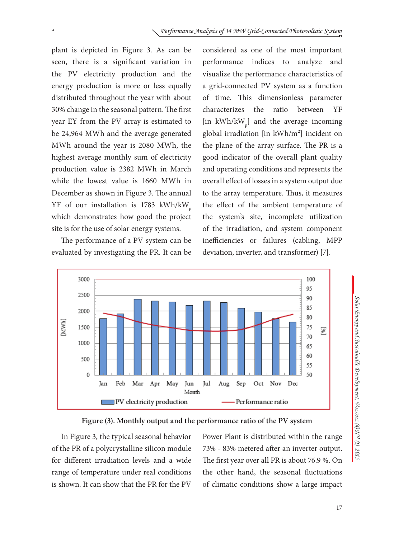plant is depicted in Figure 3. As can be seen, there is a significant variation in the PV electricity production and the energy production is more or less equally distributed throughout the year with about 30% change in the seasonal pattern. The first year EY from the PV array is estimated to be 24,964 MWh and the average generated MWh around the year is 2080 MWh, the highest average monthly sum of electricity production value is 2382 MWh in March while the lowest value is 1660 MWh in December as shown in Figure 3. The annual YF of our installation is 1783 kWh/kW p which demonstrates how good the project site is for the use of solar energy systems.

The performance of a PV system can be evaluated by investigating the PR. It can be considered as one of the most important performance indices to analyze and visualize the performance characteristics of a grid-connected PV system as a function of time. This dimensionless parameter characterizes the ratio between YF [in  $kWh/kW_{p}$ ] and the average incoming global irradiation [in kWh/m²] incident on the plane of the array surface. The PR is a good indicator of the overall plant quality and operating conditions and represents the overall effect of losses in a system output due to the array temperature. Thus, it measures the effect of the ambient temperature of the system's site, incomplete utilization of the irradiation, and system component inefficiencies or failures (cabling, MPP deviation, inverter, and transformer) [7].





In Figure 3, the typical seasonal behavior of the PR of a polycrystalline silicon module for different irradiation levels and a wide range of temperature under real conditions is shown. It can show that the PR for the PV Power Plant is distributed within the range 73% - 83% metered after an inverter output. The first year over all PR is about 76.9 %. On the other hand, the seasonal fluctuations of climatic conditions show a large impact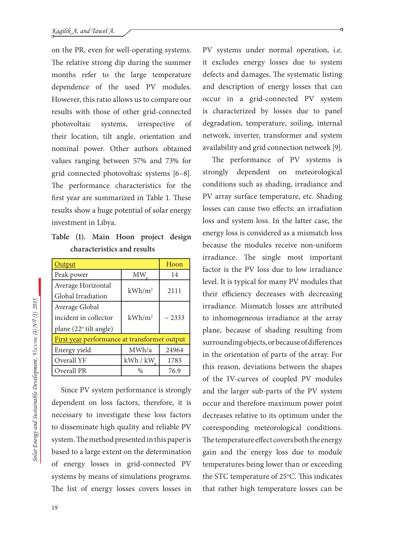on the PR, even for well-operating systems. The relative strong dip during the summer months refer to the large temperature dependence of the used PV modules. However, this ratio allows us to compare our results with those of other grid-connected photovoltaic systems, irrespective of their location, tilt angle, orientation and nominal power. Other authors obtained values ranging between 57% and 73% for grid connected photovoltaic systems [6–8]. The performance characteristics for the first year are summarized in Table 1. These results show a huge potential of solar energy investment in Libya.

**Table (1). Main Hoon project design characteristics and results**

| <b>Output</b>                                |               | Hoon        |  |
|----------------------------------------------|---------------|-------------|--|
| Peak power                                   | МW            | 14          |  |
| Average Horizontal                           | $kWh/m^2$     | 2111        |  |
| Global Irradiation                           |               |             |  |
| Average Global                               |               |             |  |
| incident in collector                        | $kWh/m^2$     | $\sim$ 2333 |  |
| plane (22° tilt angle)                       |               |             |  |
| First year performance at transformer output |               |             |  |
| Energy yield                                 | MWh/a         | 24964       |  |
| Overall YF                                   | kWh/kW        | 1783        |  |
| Overall PR                                   | $\frac{0}{0}$ | 76.9        |  |

Since PV system performance is strongly dependent on loss factors, therefore, it is necessary to investigate these loss factors to disseminate high quality and reliable PV system. The method presented in this paper is based to a large extent on the determination of energy losses in grid-connected PV systems by means of simulations programs. The list of energy losses covers losses in PV systems under normal operation, i.e. it excludes energy losses due to system defects and damages. The systematic listing and description of energy losses that can occur in a grid-connected PV system is characterized by losses due to panel degradation, temperature, soiling, internal network, inverter, transformer and system availability and grid connection network [9].

The performance of PV systems is strongly dependent on meteorological conditions such as shading, irradiance and PV array surface temperature, etc. Shading losses can cause two effects: an irradiation loss and system loss. In the latter case, the energy loss is considered as a mismatch loss because the modules receive non-uniform irradiance. The single most important factor is the PV loss due to low irradiance level. It is typical for many PV modules that their efficiency decreases with decreasing irradiance. Mismatch losses are attributed to inhomogeneous irradiance at the array plane, because of shading resulting from surrounding objects, or because of differences in the orientation of parts of the array. For this reason, deviations between the shapes of the IV-curves of coupled PV modules and the larger sub-parts of the PV system occur and therefore maximum power point decreases relative to its optimum under the corresponding meteorological conditions. The temperature effect covers both the energy gain and the energy loss due to module temperatures being lower than or exceeding the STC temperature of 25°C. This indicates that rather high temperature losses can be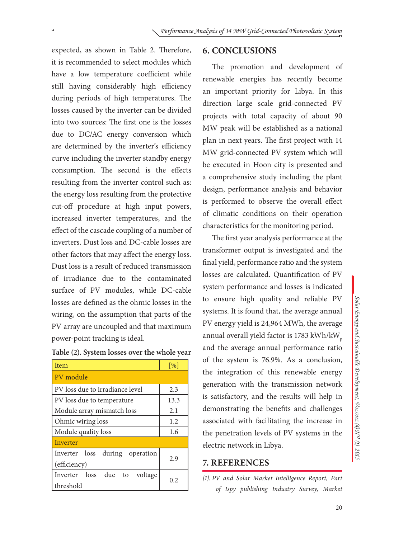expected, as shown in Table 2. Therefore, it is recommended to select modules which have a low temperature coefficient while still having considerably high efficiency during periods of high temperatures. The losses caused by the inverter can be divided into two sources: The first one is the losses due to DC/AC energy conversion which are determined by the inverter's efficiency curve including the inverter standby energy consumption. The second is the effects resulting from the inverter control such as: the energy loss resulting from the protective cut-off procedure at high input powers, increased inverter temperatures, and the effect of the cascade coupling of a number of inverters. Dust loss and DC-cable losses are other factors that may affect the energy loss. Dust loss is a result of reduced transmission of irradiance due to the contaminated surface of PV modules, while DC-cable losses are defined as the ohmic losses in the wiring, on the assumption that parts of the PV array are uncoupled and that maximum power-point tracking is ideal.

| Table (2). System losses over the whole year |  |
|----------------------------------------------|--|
|----------------------------------------------|--|

| Item                                              | [%]  |  |  |
|---------------------------------------------------|------|--|--|
| PV module                                         |      |  |  |
| PV loss due to irradiance level                   | 2.3  |  |  |
| PV loss due to temperature                        | 13.3 |  |  |
| Module array mismatch loss                        | 2.1  |  |  |
| Ohmic wiring loss                                 | 1.2  |  |  |
| Module quality loss                               | 1.6  |  |  |
| <b>Inverter</b>                                   |      |  |  |
| Inverter loss<br>during operation<br>(efficiency) | 2.9  |  |  |
| Inverter loss due to<br>voltage<br>threshold      | 02   |  |  |

### **6. CONCLUSIONS**

The promotion and development of renewable energies has recently become an important priority for Libya. In this direction large scale grid-connected PV projects with total capacity of about 90 MW peak will be established as a national plan in next years. The first project with 14 MW grid-connected PV system which will be executed in Hoon city is presented and a comprehensive study including the plant design, performance analysis and behavior is performed to observe the overall effect of climatic conditions on their operation characteristics for the monitoring period.

The first year analysis performance at the transformer output is investigated and the final yield, performance ratio and the system losses are calculated. Quantification of PV system performance and losses is indicated to ensure high quality and reliable PV systems. It is found that, the average annual PV energy yield is 24,964 MWh, the average annual overall yield factor is 1783 kWh/kW<sub>p</sub> and the average annual performance ratio of the system is 76.9%. As a conclusion, the integration of this renewable energy generation with the transmission network is satisfactory, and the results will help in demonstrating the benefits and challenges associated with facilitating the increase in the penetration levels of PV systems in the electric network in Libya.

### **7. REFERENCES**

*[1]. PV and Solar Market Intelligence Report, Part of Ispy publishing Industry Survey, Market* 

*Solar Energy and Sustainable Development,* 

Solar Energy and Sustainable Development,  $\sqrt[4]{\text{ocovse}}$  (4) $\sqrt[3]{2}$  (1) 2015

*Volume (4) N o (1) 2015*